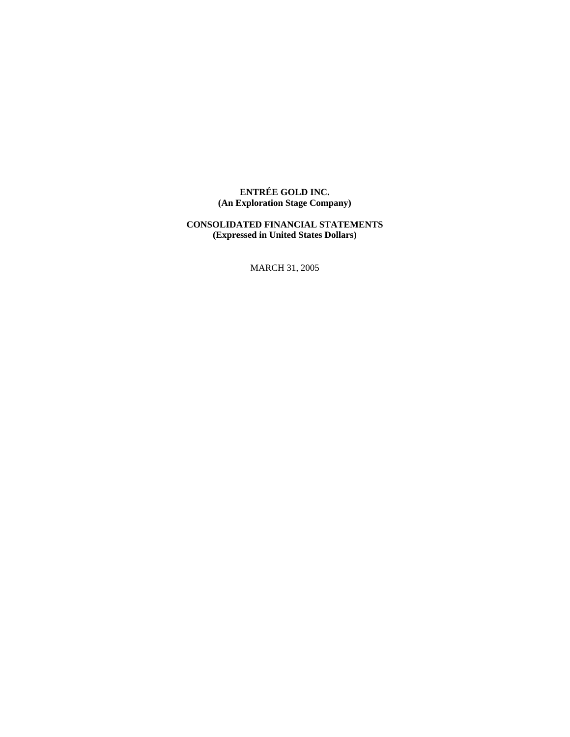# **ENTRÉE GOLD INC. (An Exploration Stage Company)**

# **CONSOLIDATED FINANCIAL STATEMENTS (Expressed in United States Dollars)**

MARCH 31, 2005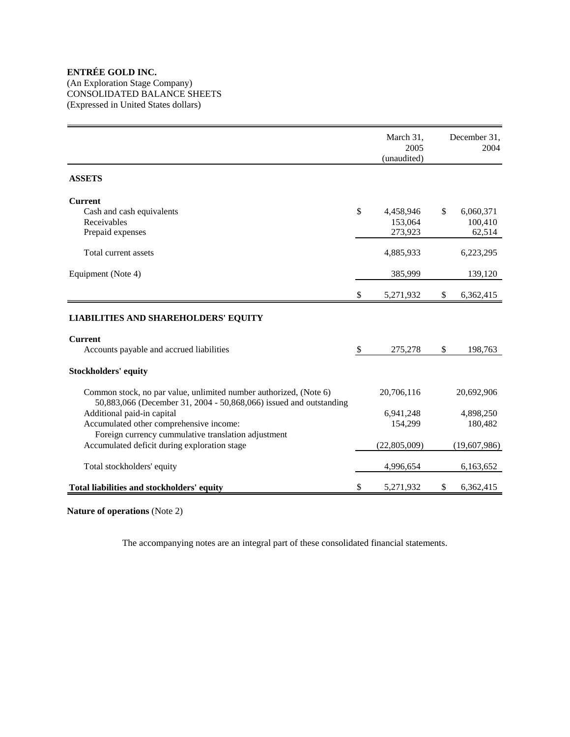(An Exploration Stage Company) CONSOLIDATED BALANCE SHEETS (Expressed in United States dollars)

|                                                                                                                                         | March 31,<br>2005<br>(unaudited) | December 31,<br>2004 |
|-----------------------------------------------------------------------------------------------------------------------------------------|----------------------------------|----------------------|
| <b>ASSETS</b>                                                                                                                           |                                  |                      |
| <b>Current</b>                                                                                                                          |                                  |                      |
| Cash and cash equivalents                                                                                                               | \$<br>4,458,946                  | \$<br>6,060,371      |
| Receivables                                                                                                                             | 153,064                          | 100,410              |
| Prepaid expenses                                                                                                                        | 273,923                          | 62,514               |
| Total current assets                                                                                                                    | 4,885,933                        | 6,223,295            |
| Equipment (Note 4)                                                                                                                      | 385,999                          | 139,120              |
|                                                                                                                                         | \$<br>5,271,932                  | \$<br>6,362,415      |
| <b>LIABILITIES AND SHAREHOLDERS' EQUITY</b>                                                                                             |                                  |                      |
| <b>Current</b>                                                                                                                          |                                  |                      |
| Accounts payable and accrued liabilities                                                                                                | \$<br>275,278                    | \$<br>198,763        |
| <b>Stockholders' equity</b>                                                                                                             |                                  |                      |
| Common stock, no par value, unlimited number authorized, (Note 6)<br>50,883,066 (December 31, 2004 - 50,868,066) issued and outstanding | 20,706,116                       | 20,692,906           |
| Additional paid-in capital                                                                                                              | 6,941,248                        | 4,898,250            |
| Accumulated other comprehensive income:<br>Foreign currency cummulative translation adjustment                                          | 154,299                          | 180,482              |
| Accumulated deficit during exploration stage                                                                                            | (22,805,009)                     | (19,607,986)         |
| Total stockholders' equity                                                                                                              | 4,996,654                        | 6,163,652            |
| Total liabilities and stockholders' equity                                                                                              | \$<br>5,271,932                  | \$<br>6,362,415      |

**Nature of operations** (Note 2)

The accompanying notes are an integral part of these consolidated financial statements.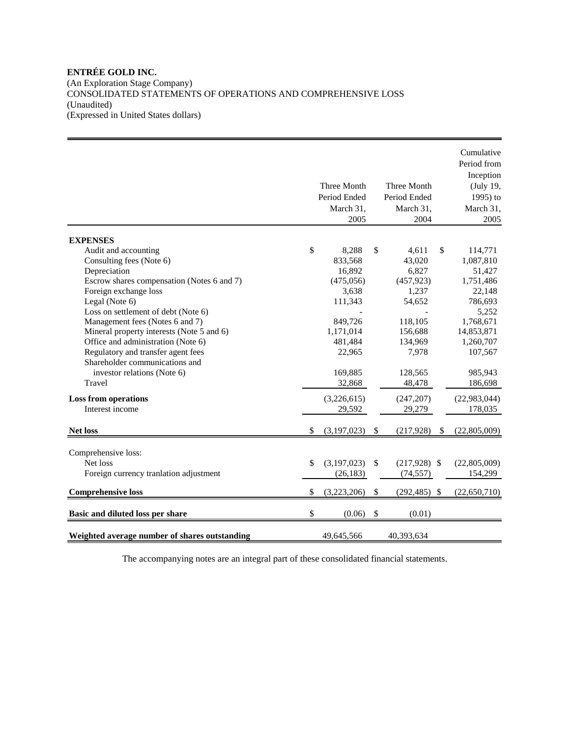(An Exploration Stage Company) CONSOLIDATED STATEMENTS OF OPERATIONS AND COMPREHENSIVE LOSS (Unaudited) (Expressed in United States dollars)

|                                                                                                                                                                                                                                                                                                                                                                                                                                         | Three Month<br>Period Ended<br>March 31,<br>2005                                                                                     |              | Three Month<br>Period Ended<br>March 31,<br>2004                                                                         | Cumulative<br>Period from<br>Inception<br>(July 19,<br>1995) to<br>March 31,<br>2005                                                                     |
|-----------------------------------------------------------------------------------------------------------------------------------------------------------------------------------------------------------------------------------------------------------------------------------------------------------------------------------------------------------------------------------------------------------------------------------------|--------------------------------------------------------------------------------------------------------------------------------------|--------------|--------------------------------------------------------------------------------------------------------------------------|----------------------------------------------------------------------------------------------------------------------------------------------------------|
| <b>EXPENSES</b>                                                                                                                                                                                                                                                                                                                                                                                                                         |                                                                                                                                      |              |                                                                                                                          |                                                                                                                                                          |
| Audit and accounting<br>Consulting fees (Note 6)<br>Depreciation<br>Escrow shares compensation (Notes 6 and 7)<br>Foreign exchange loss<br>Legal (Note 6)<br>Loss on settlement of debt (Note 6)<br>Management fees (Notes 6 and 7)<br>Mineral property interests (Note 5 and 6)<br>Office and administration (Note 6)<br>Regulatory and transfer agent fees<br>Shareholder communications and<br>investor relations (Note 6)<br>Travel | \$<br>8,288<br>833,568<br>16,892<br>(475, 056)<br>3,638<br>111,343<br>849,726<br>1,171,014<br>481,484<br>22,965<br>169,885<br>32,868 | \$           | 4,611<br>43,020<br>6,827<br>(457, 923)<br>1,237<br>54,652<br>118,105<br>156,688<br>134,969<br>7,978<br>128,565<br>48,478 | \$<br>114,771<br>1,087,810<br>51,427<br>1,751,486<br>22,148<br>786,693<br>5,252<br>1,768,671<br>14,853,871<br>1,260,707<br>107,567<br>985,943<br>186,698 |
| <b>Loss from operations</b><br>Interest income                                                                                                                                                                                                                                                                                                                                                                                          | (3,226,615)<br>29,592                                                                                                                |              | (247, 207)<br>29,279                                                                                                     | (22,983,044)<br>178,035                                                                                                                                  |
| <b>Net loss</b>                                                                                                                                                                                                                                                                                                                                                                                                                         | \$<br>(3, 197, 023)                                                                                                                  | \$           | (217, 928)                                                                                                               | \$<br>(22,805,009)                                                                                                                                       |
| Comprehensive loss:<br>Net loss<br>Foreign currency tranlation adjustment                                                                                                                                                                                                                                                                                                                                                               | \$<br>(3,197,023)<br>(26, 183)                                                                                                       | $\mathbb{S}$ | $(217,928)$ \$<br>(74, 557)                                                                                              | (22,805,009)<br>154,299                                                                                                                                  |
| <b>Comprehensive loss</b>                                                                                                                                                                                                                                                                                                                                                                                                               | \$<br>(3,223,206)                                                                                                                    | \$           | $(292, 485)$ \$                                                                                                          | (22,650,710)                                                                                                                                             |
| Basic and diluted loss per share                                                                                                                                                                                                                                                                                                                                                                                                        | \$<br>(0.06)                                                                                                                         | \$           | (0.01)                                                                                                                   |                                                                                                                                                          |
| Weighted average number of shares outstanding                                                                                                                                                                                                                                                                                                                                                                                           | 49,645,566                                                                                                                           |              | 40,393,634                                                                                                               |                                                                                                                                                          |

The accompanying notes are an integral part of these consolidated financial statements.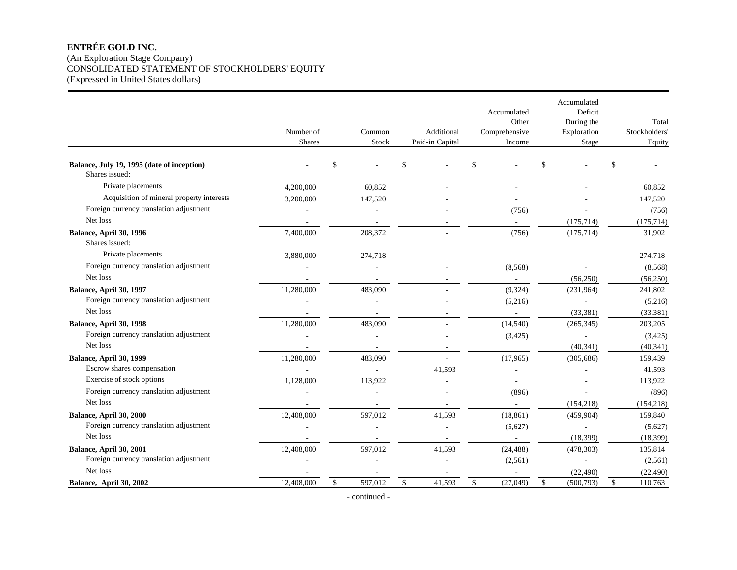# (An Exploration Stage Company) CONSOLIDATED STATEMENT OF STOCKHOLDERS' EQUITY (Expressed in United States dollars)

|                                                              | Number of<br><b>Shares</b> |               | Common<br>Stock |               | Additional<br>Paid-in Capital | Accumulated<br>Other<br>Comprehensive<br>Income | Accumulated<br>Deficit<br>During the<br>Exploration<br>Stage | Total<br>Stockholders'<br>Equity |
|--------------------------------------------------------------|----------------------------|---------------|-----------------|---------------|-------------------------------|-------------------------------------------------|--------------------------------------------------------------|----------------------------------|
| Balance, July 19, 1995 (date of inception)<br>Shares issued: |                            | <sup>\$</sup> |                 | \$            |                               |                                                 | \$                                                           | \$                               |
| Private placements                                           | 4,200,000                  |               | 60,852          |               |                               |                                                 |                                                              | 60,852                           |
| Acquisition of mineral property interests                    | 3,200,000                  |               | 147,520         |               |                               |                                                 |                                                              | 147,520                          |
| Foreign currency translation adjustment                      |                            |               |                 |               |                               | (756)                                           |                                                              | (756)                            |
| Net loss                                                     |                            |               |                 |               |                               | $\sim$                                          | (175, 714)                                                   | (175, 714)                       |
| Balance, April 30, 1996<br>Shares issued:                    | 7,400,000                  |               | 208,372         |               |                               | (756)                                           | (175, 714)                                                   | 31,902                           |
| Private placements                                           | 3,880,000                  |               | 274,718         |               |                               |                                                 |                                                              | 274,718                          |
| Foreign currency translation adjustment                      |                            |               |                 |               |                               | (8, 568)                                        |                                                              | (8,568)                          |
| Net loss                                                     |                            |               |                 |               |                               |                                                 | (56,250)                                                     | (56, 250)                        |
| Balance, April 30, 1997                                      | 11,280,000                 |               | 483,090         |               |                               | (9, 324)                                        | (231,964)                                                    | 241,802                          |
| Foreign currency translation adjustment                      |                            |               |                 |               |                               | (5,216)                                         | L,                                                           | (5,216)                          |
| Net loss                                                     |                            |               |                 |               |                               |                                                 | (33, 381)                                                    | (33, 381)                        |
| Balance, April 30, 1998                                      | 11,280,000                 |               | 483,090         |               |                               | (14, 540)                                       | (265, 345)                                                   | 203,205                          |
| Foreign currency translation adjustment                      |                            |               |                 |               |                               | (3, 425)                                        | $\sim$                                                       | (3,425)                          |
| Net loss                                                     |                            |               |                 |               |                               |                                                 | (40, 341)                                                    | (40, 341)                        |
| Balance, April 30, 1999                                      | 11,280,000                 |               | 483,090         |               |                               | (17, 965)                                       | (305, 686)                                                   | 159,439                          |
| Escrow shares compensation                                   |                            |               |                 |               | 41,593                        |                                                 |                                                              | 41,593                           |
| Exercise of stock options                                    | 1,128,000                  |               | 113,922         |               |                               |                                                 |                                                              | 113,922                          |
| Foreign currency translation adjustment                      |                            |               |                 |               |                               | (896)                                           |                                                              | (896)                            |
| Net loss                                                     |                            |               |                 |               |                               |                                                 | (154, 218)                                                   | (154, 218)                       |
| Balance, April 30, 2000                                      | 12,408,000                 |               | 597,012         |               | 41,593                        | (18, 861)                                       | (459, 904)                                                   | 159,840                          |
| Foreign currency translation adjustment                      |                            |               |                 |               |                               | (5,627)                                         |                                                              | (5,627)                          |
| Net loss                                                     |                            |               |                 |               |                               |                                                 | (18, 399)                                                    | (18, 399)                        |
| Balance, April 30, 2001                                      | 12,408,000                 |               | 597,012         |               | 41,593                        | (24, 488)                                       | (478, 303)                                                   | 135,814                          |
| Foreign currency translation adjustment                      |                            |               |                 |               |                               | (2, 561)                                        | ÷,                                                           | (2,561)                          |
| Net loss                                                     |                            |               |                 |               |                               |                                                 | (22, 490)                                                    | (22, 490)                        |
| Balance, April 30, 2002                                      | 12,408,000                 | \$            | 597,012         | $\mathsf{\$}$ | 41,593                        | \$<br>(27, 049)                                 | \$<br>(500, 793)                                             | \$<br>110,763                    |

- continued -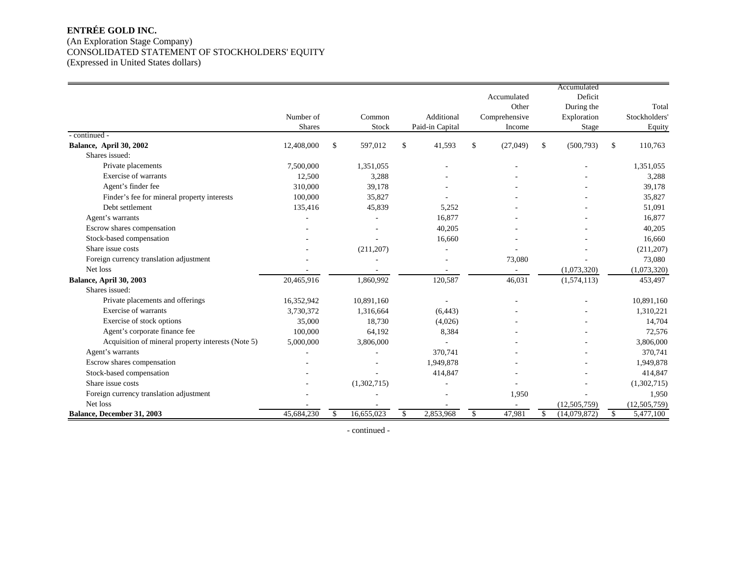(An Exploration Stage Company) CONSOLIDATED STATEMENT OF STOCKHOLDERS' EQUITY (Expressed in United States dollars)

|                                                    |               |                  |              |                 |              |               | Accumulated        |              |               |
|----------------------------------------------------|---------------|------------------|--------------|-----------------|--------------|---------------|--------------------|--------------|---------------|
|                                                    |               |                  |              |                 |              | Accumulated   | Deficit            |              |               |
|                                                    |               |                  |              |                 |              | Other         | During the         |              | Total         |
|                                                    | Number of     | Common           |              | Additional      |              | Comprehensive | Exploration        |              | Stockholders' |
|                                                    | <b>Shares</b> | Stock            |              | Paid-in Capital |              | Income        | Stage              |              | Equity        |
| - continued -                                      |               |                  |              |                 |              |               |                    |              |               |
| Balance, April 30, 2002                            | 12,408,000    | \$<br>597,012    | $\mathbb{S}$ | 41,593          | \$           | (27,049)      | \$<br>(500, 793)   | $\mathbb{S}$ | 110,763       |
| Shares issued:                                     |               |                  |              |                 |              |               |                    |              |               |
| Private placements                                 | 7,500,000     | 1,351,055        |              |                 |              |               |                    |              | 1,351,055     |
| Exercise of warrants                               | 12,500        | 3,288            |              |                 |              |               |                    |              | 3,288         |
| Agent's finder fee                                 | 310,000       | 39,178           |              |                 |              |               |                    |              | 39,178        |
| Finder's fee for mineral property interests        | 100,000       | 35,827           |              |                 |              |               |                    |              | 35,827        |
| Debt settlement                                    | 135,416       | 45,839           |              | 5,252           |              |               |                    |              | 51,091        |
| Agent's warrants                                   |               |                  |              | 16,877          |              |               |                    |              | 16,877        |
| Escrow shares compensation                         |               |                  |              | 40,205          |              |               |                    |              | 40,205        |
| Stock-based compensation                           |               |                  |              | 16,660          |              |               |                    |              | 16,660        |
| Share issue costs                                  |               | (211, 207)       |              |                 |              |               |                    |              | (211, 207)    |
| Foreign currency translation adjustment            |               |                  |              |                 |              | 73,080        |                    |              | 73,080        |
| Net loss                                           |               |                  |              |                 |              |               | (1,073,320)        |              | (1,073,320)   |
| Balance, April 30, 2003                            | 20,465,916    | 1,860,992        |              | 120,587         |              | 46,031        | (1,574,113)        |              | 453,497       |
| Shares issued:                                     |               |                  |              |                 |              |               |                    |              |               |
| Private placements and offerings                   | 16,352,942    | 10,891,160       |              |                 |              |               |                    |              | 10,891,160    |
| <b>Exercise of warrants</b>                        | 3,730,372     | 1,316,664        |              | (6, 443)        |              |               |                    |              | 1,310,221     |
| Exercise of stock options                          | 35,000        | 18,730           |              | (4,026)         |              |               |                    |              | 14,704        |
| Agent's corporate finance fee                      | 100,000       | 64,192           |              | 8,384           |              |               |                    |              | 72,576        |
| Acquisition of mineral property interests (Note 5) | 5,000,000     | 3,806,000        |              |                 |              |               |                    |              | 3,806,000     |
| Agent's warrants                                   |               |                  |              | 370,741         |              |               |                    |              | 370,741       |
| Escrow shares compensation                         |               |                  |              | 1,949,878       |              |               |                    |              | 1,949,878     |
| Stock-based compensation                           |               |                  |              | 414,847         |              |               |                    |              | 414,847       |
| Share issue costs                                  |               | (1,302,715)      |              |                 |              |               |                    |              | (1,302,715)   |
| Foreign currency translation adjustment            |               |                  |              |                 |              | 1,950         |                    |              | 1,950         |
| Net loss                                           |               |                  |              |                 |              |               | (12, 505, 759)     |              | (12,505,759)  |
| Balance, December 31, 2003                         | 45,684,230    | \$<br>16,655,023 | \$           | 2,853,968       | $\mathbb{S}$ | 47,981        | \$<br>(14,079,872) | \$           | 5,477,100     |

- continued -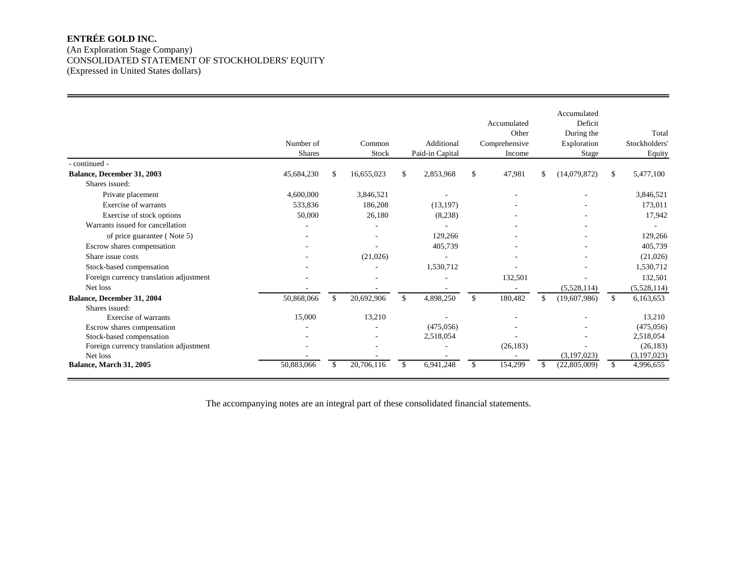(An Exploration Stage Company) CONSOLIDATED STATEMENT OF STOCKHOLDERS' EQUITY (Expressed in United States dollars)

|                                         | Number of<br><b>Shares</b> |              | Common<br>Stock |              | Additional<br>Paid-in Capital |              | Accumulated<br>Other<br>Comprehensive<br>Income |    | Accumulated<br>Deficit<br>During the<br>Exploration<br>Stage |               | Total<br>Stockholders'<br>Equity |
|-----------------------------------------|----------------------------|--------------|-----------------|--------------|-------------------------------|--------------|-------------------------------------------------|----|--------------------------------------------------------------|---------------|----------------------------------|
| - continued -                           |                            |              |                 |              |                               |              |                                                 |    |                                                              |               |                                  |
| Balance, December 31, 2003              | 45,684,230                 | \$           | 16,655,023      | S.           | 2,853,968                     | \$           | 47,981                                          | \$ | (14,079,872)                                                 | S.            | 5,477,100                        |
| Shares issued:                          |                            |              |                 |              |                               |              |                                                 |    |                                                              |               |                                  |
| Private placement                       | 4,600,000                  |              | 3,846,521       |              |                               |              |                                                 |    |                                                              |               | 3,846,521                        |
| Exercise of warrants                    | 533,836                    |              | 186,208         |              | (13, 197)                     |              |                                                 |    |                                                              |               | 173,011                          |
| Exercise of stock options               | 50,000                     |              | 26,180          |              | (8,238)                       |              |                                                 |    |                                                              |               | 17,942                           |
| Warrants issued for cancellation        |                            |              |                 |              |                               |              |                                                 |    |                                                              |               |                                  |
| of price guarantee (Note 5)             |                            |              |                 |              | 129,266                       |              |                                                 |    |                                                              |               | 129,266                          |
| Escrow shares compensation              |                            |              |                 |              | 405,739                       |              |                                                 |    |                                                              |               | 405,739                          |
| Share issue costs                       |                            |              | (21,026)        |              |                               |              |                                                 |    |                                                              |               | (21,026)                         |
| Stock-based compensation                |                            |              |                 |              | 1,530,712                     |              |                                                 |    |                                                              |               | 1,530,712                        |
| Foreign currency translation adjustment |                            |              |                 |              |                               |              | 132,501                                         |    |                                                              |               | 132,501                          |
| Net loss                                |                            |              |                 |              |                               |              |                                                 |    | (5,528,114)                                                  |               | (5,528,114)                      |
| Balance, December 31, 2004              | 50,868,066                 | $\mathbb{S}$ | 20,692,906      | $\mathbb{S}$ | 4,898,250                     | $\mathbb{S}$ | 180,482                                         | \$ | (19,607,986)                                                 | \$            | 6,163,653                        |
| Shares issued:                          |                            |              |                 |              |                               |              |                                                 |    |                                                              |               |                                  |
| Exercise of warrants                    | 15,000                     |              | 13,210          |              |                               |              |                                                 |    |                                                              |               | 13,210                           |
| Escrow shares compensation              |                            |              |                 |              | (475, 056)                    |              |                                                 |    |                                                              |               | (475,056)                        |
| Stock-based compensation                |                            |              |                 |              | 2,518,054                     |              |                                                 |    |                                                              |               | 2,518,054                        |
| Foreign currency translation adjustment |                            |              |                 |              |                               |              | (26, 183)                                       |    |                                                              |               | (26, 183)                        |
| Net loss                                |                            |              |                 |              |                               |              |                                                 |    | (3,197,023)                                                  |               | (3,197,023)                      |
| Balance, March 31, 2005                 | 50,883,066                 | \$           | 20,706,116      | \$           | 6,941,248                     | \$           | 154,299                                         | S. | (22,805,009)                                                 | <sup>\$</sup> | 4,996,655                        |

The accompanying notes are an integral part of these consolidated financial statements.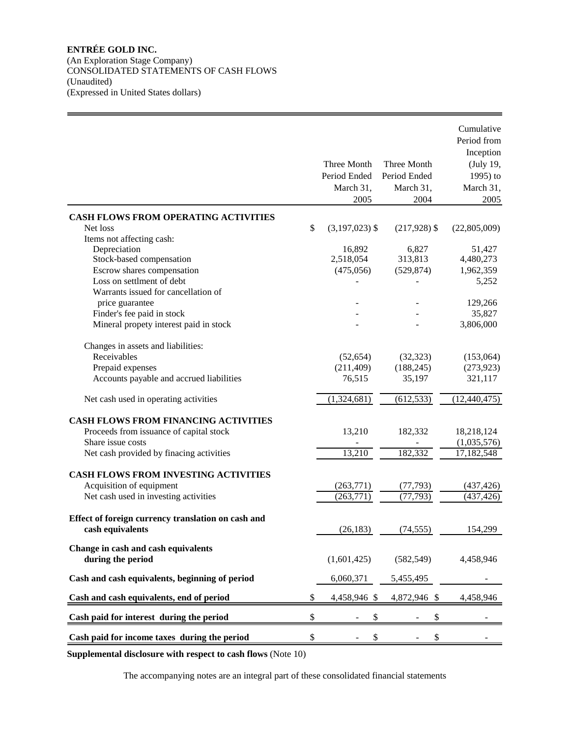## **ENTRÉE GOLD INC.**  (An Exploration Stage Company) CONSOLIDATED STATEMENTS OF CASH FLOWS (Unaudited) (Expressed in United States dollars)

|                                                    |                        |                   | Cumulative<br>Period from |
|----------------------------------------------------|------------------------|-------------------|---------------------------|
|                                                    |                        |                   | Inception                 |
|                                                    | Three Month            | Three Month       | (July 19,                 |
|                                                    | Period Ended           | Period Ended      | 1995) to                  |
|                                                    | March 31,<br>2005      | March 31,<br>2004 | March 31,<br>2005         |
|                                                    |                        |                   |                           |
| <b>CASH FLOWS FROM OPERATING ACTIVITIES</b>        |                        |                   |                           |
| Net loss                                           | \$<br>$(3,197,023)$ \$ | $(217,928)$ \$    | (22,805,009)              |
| Items not affecting cash:                          | 16,892                 | 6,827             | 51,427                    |
| Depreciation<br>Stock-based compensation           | 2,518,054              | 313,813           | 4,480,273                 |
| Escrow shares compensation                         | (475,056)              | (529, 874)        | 1,962,359                 |
| Loss on settlment of debt                          |                        |                   | 5,252                     |
| Warrants issued for cancellation of                |                        |                   |                           |
| price guarantee                                    |                        |                   | 129,266                   |
| Finder's fee paid in stock                         |                        |                   | 35,827                    |
| Mineral propety interest paid in stock             |                        |                   | 3,806,000                 |
|                                                    |                        |                   |                           |
| Changes in assets and liabilities:                 |                        |                   |                           |
| Receivables                                        | (52, 654)              | (32, 323)         | (153,064)                 |
| Prepaid expenses                                   | (211, 409)             | (188, 245)        | (273, 923)                |
| Accounts payable and accrued liabilities           | 76,515                 | 35,197            | 321,117                   |
| Net cash used in operating activities              | (1,324,681)            | (612, 533)        | (12, 440, 475)            |
| <b>CASH FLOWS FROM FINANCING ACTIVITIES</b>        |                        |                   |                           |
| Proceeds from issuance of capital stock            | 13,210                 | 182,332           | 18,218,124                |
| Share issue costs                                  |                        |                   | (1,035,576)               |
| Net cash provided by finacing activities           | 13,210                 | 182,332           | 17,182,548                |
| <b>CASH FLOWS FROM INVESTING ACTIVITIES</b>        |                        |                   |                           |
| Acquisition of equipment                           | (263,771)              | (77, 793)         | (437, 426)                |
| Net cash used in investing activities              | (263, 771)             | (77, 793)         | (437, 426)                |
|                                                    |                        |                   |                           |
| Effect of foreign currency translation on cash and |                        |                   |                           |
| cash equivalents                                   | (26, 183)              | (74, 555)         | 154,299                   |
| Change in cash and cash equivalents                |                        |                   |                           |
| during the period                                  | (1,601,425)            | (582, 549)        | 4,458,946                 |
| Cash and cash equivalents, beginning of period     | 6,060,371              | 5,455,495         |                           |
| Cash and cash equivalents, end of period           | \$<br>4,458,946 \$     | 4,872,946 \$      | 4,458,946                 |
|                                                    |                        |                   |                           |
| Cash paid for interest during the period           | \$<br>\$<br>÷,         | \$                |                           |
| Cash paid for income taxes during the period       | \$<br>\$               | \$                |                           |

**Supplemental disclosure with respect to cash flows** (Note 10)

The accompanying notes are an integral part of these consolidated financial statements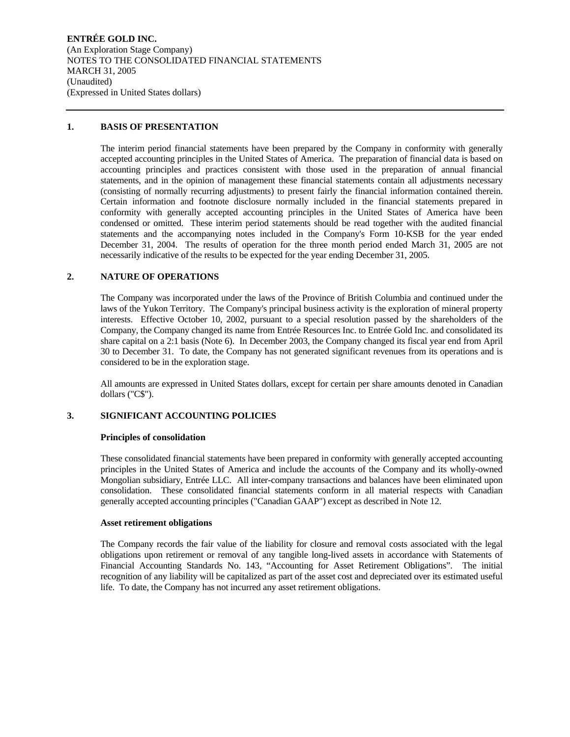**ENTRÉE GOLD INC.**  (An Exploration Stage Company) NOTES TO THE CONSOLIDATED FINANCIAL STATEMENTS MARCH 31, 2005 (Unaudited) (Expressed in United States dollars)

### **1. BASIS OF PRESENTATION**

The interim period financial statements have been prepared by the Company in conformity with generally accepted accounting principles in the United States of America. The preparation of financial data is based on accounting principles and practices consistent with those used in the preparation of annual financial statements, and in the opinion of management these financial statements contain all adjustments necessary (consisting of normally recurring adjustments) to present fairly the financial information contained therein. Certain information and footnote disclosure normally included in the financial statements prepared in conformity with generally accepted accounting principles in the United States of America have been condensed or omitted. These interim period statements should be read together with the audited financial statements and the accompanying notes included in the Company's Form 10-KSB for the year ended December 31, 2004. The results of operation for the three month period ended March 31, 2005 are not necessarily indicative of the results to be expected for the year ending December 31, 2005.

### **2. NATURE OF OPERATIONS**

The Company was incorporated under the laws of the Province of British Columbia and continued under the laws of the Yukon Territory. The Company's principal business activity is the exploration of mineral property interests. Effective October 10, 2002, pursuant to a special resolution passed by the shareholders of the Company, the Company changed its name from Entrée Resources Inc. to Entrée Gold Inc. and consolidated its share capital on a 2:1 basis (Note 6). In December 2003, the Company changed its fiscal year end from April 30 to December 31. To date, the Company has not generated significant revenues from its operations and is considered to be in the exploration stage.

All amounts are expressed in United States dollars, except for certain per share amounts denoted in Canadian dollars ("C\$").

### **3. SIGNIFICANT ACCOUNTING POLICIES**

### **Principles of consolidation**

These consolidated financial statements have been prepared in conformity with generally accepted accounting principles in the United States of America and include the accounts of the Company and its wholly-owned Mongolian subsidiary, Entrée LLC. All inter-company transactions and balances have been eliminated upon consolidation. These consolidated financial statements conform in all material respects with Canadian generally accepted accounting principles ("Canadian GAAP") except as described in Note 12.

### **Asset retirement obligations**

The Company records the fair value of the liability for closure and removal costs associated with the legal obligations upon retirement or removal of any tangible long-lived assets in accordance with Statements of Financial Accounting Standards No. 143, "Accounting for Asset Retirement Obligations". The initial recognition of any liability will be capitalized as part of the asset cost and depreciated over its estimated useful life. To date, the Company has not incurred any asset retirement obligations.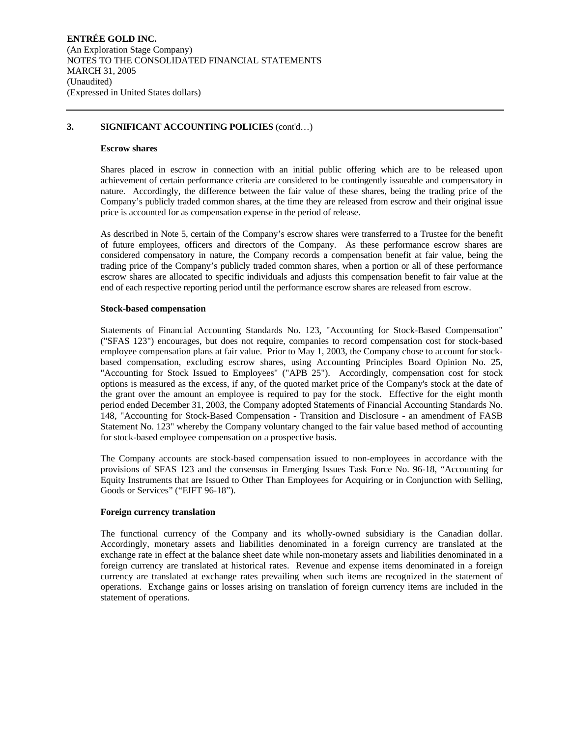### **3. SIGNIFICANT ACCOUNTING POLICIES** (cont'd…)

### **Escrow shares**

Shares placed in escrow in connection with an initial public offering which are to be released upon achievement of certain performance criteria are considered to be contingently issueable and compensatory in nature. Accordingly, the difference between the fair value of these shares, being the trading price of the Company's publicly traded common shares, at the time they are released from escrow and their original issue price is accounted for as compensation expense in the period of release.

As described in Note 5, certain of the Company's escrow shares were transferred to a Trustee for the benefit of future employees, officers and directors of the Company. As these performance escrow shares are considered compensatory in nature, the Company records a compensation benefit at fair value, being the trading price of the Company's publicly traded common shares, when a portion or all of these performance escrow shares are allocated to specific individuals and adjusts this compensation benefit to fair value at the end of each respective reporting period until the performance escrow shares are released from escrow.

### **Stock-based compensation**

Statements of Financial Accounting Standards No. 123, "Accounting for Stock-Based Compensation" ("SFAS 123") encourages, but does not require, companies to record compensation cost for stock-based employee compensation plans at fair value. Prior to May 1, 2003, the Company chose to account for stockbased compensation, excluding escrow shares, using Accounting Principles Board Opinion No. 25, "Accounting for Stock Issued to Employees" ("APB 25"). Accordingly, compensation cost for stock options is measured as the excess, if any, of the quoted market price of the Company's stock at the date of the grant over the amount an employee is required to pay for the stock. Effective for the eight month period ended December 31, 2003, the Company adopted Statements of Financial Accounting Standards No. 148, "Accounting for Stock-Based Compensation - Transition and Disclosure - an amendment of FASB Statement No. 123" whereby the Company voluntary changed to the fair value based method of accounting for stock-based employee compensation on a prospective basis.

The Company accounts are stock-based compensation issued to non-employees in accordance with the provisions of SFAS 123 and the consensus in Emerging Issues Task Force No. 96-18, "Accounting for Equity Instruments that are Issued to Other Than Employees for Acquiring or in Conjunction with Selling, Goods or Services" ("EIFT 96-18").

### **Foreign currency translation**

The functional currency of the Company and its wholly-owned subsidiary is the Canadian dollar. Accordingly, monetary assets and liabilities denominated in a foreign currency are translated at the exchange rate in effect at the balance sheet date while non-monetary assets and liabilities denominated in a foreign currency are translated at historical rates. Revenue and expense items denominated in a foreign currency are translated at exchange rates prevailing when such items are recognized in the statement of operations. Exchange gains or losses arising on translation of foreign currency items are included in the statement of operations.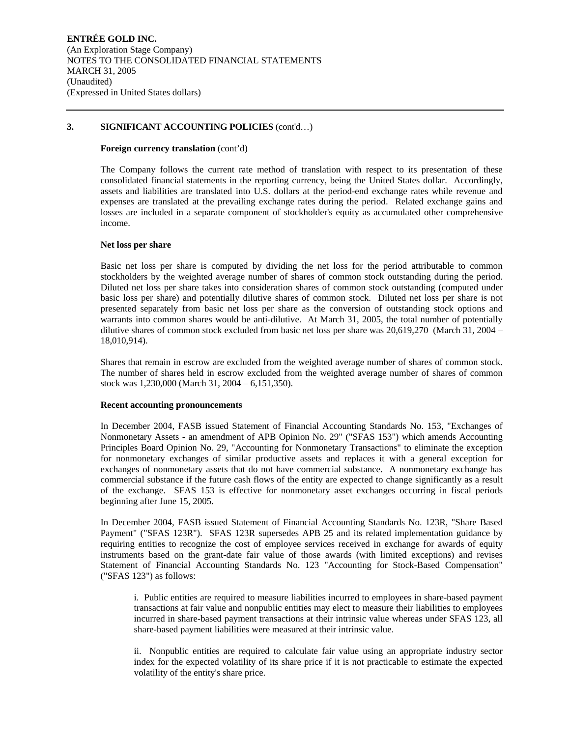### **3. SIGNIFICANT ACCOUNTING POLICIES** (cont'd…)

### **Foreign currency translation** (cont'd)

The Company follows the current rate method of translation with respect to its presentation of these consolidated financial statements in the reporting currency, being the United States dollar. Accordingly, assets and liabilities are translated into U.S. dollars at the period-end exchange rates while revenue and expenses are translated at the prevailing exchange rates during the period. Related exchange gains and losses are included in a separate component of stockholder's equity as accumulated other comprehensive income.

### **Net loss per share**

Basic net loss per share is computed by dividing the net loss for the period attributable to common stockholders by the weighted average number of shares of common stock outstanding during the period. Diluted net loss per share takes into consideration shares of common stock outstanding (computed under basic loss per share) and potentially dilutive shares of common stock. Diluted net loss per share is not presented separately from basic net loss per share as the conversion of outstanding stock options and warrants into common shares would be anti-dilutive. At March 31, 2005, the total number of potentially dilutive shares of common stock excluded from basic net loss per share was 20,619,270 (March 31, 2004 – 18,010,914).

Shares that remain in escrow are excluded from the weighted average number of shares of common stock. The number of shares held in escrow excluded from the weighted average number of shares of common stock was 1,230,000 (March 31, 2004 – 6,151,350).

### **Recent accounting pronouncements**

In December 2004, FASB issued Statement of Financial Accounting Standards No. 153, "Exchanges of Nonmonetary Assets - an amendment of APB Opinion No. 29" ("SFAS 153") which amends Accounting Principles Board Opinion No. 29, "Accounting for Nonmonetary Transactions" to eliminate the exception for nonmonetary exchanges of similar productive assets and replaces it with a general exception for exchanges of nonmonetary assets that do not have commercial substance. A nonmonetary exchange has commercial substance if the future cash flows of the entity are expected to change significantly as a result of the exchange. SFAS 153 is effective for nonmonetary asset exchanges occurring in fiscal periods beginning after June 15, 2005.

In December 2004, FASB issued Statement of Financial Accounting Standards No. 123R, "Share Based Payment" ("SFAS 123R"). SFAS 123R supersedes APB 25 and its related implementation guidance by requiring entities to recognize the cost of employee services received in exchange for awards of equity instruments based on the grant-date fair value of those awards (with limited exceptions) and revises Statement of Financial Accounting Standards No. 123 "Accounting for Stock-Based Compensation" ("SFAS 123") as follows:

i. Public entities are required to measure liabilities incurred to employees in share-based payment transactions at fair value and nonpublic entities may elect to measure their liabilities to employees incurred in share-based payment transactions at their intrinsic value whereas under SFAS 123, all share-based payment liabilities were measured at their intrinsic value.

ii. Nonpublic entities are required to calculate fair value using an appropriate industry sector index for the expected volatility of its share price if it is not practicable to estimate the expected volatility of the entity's share price.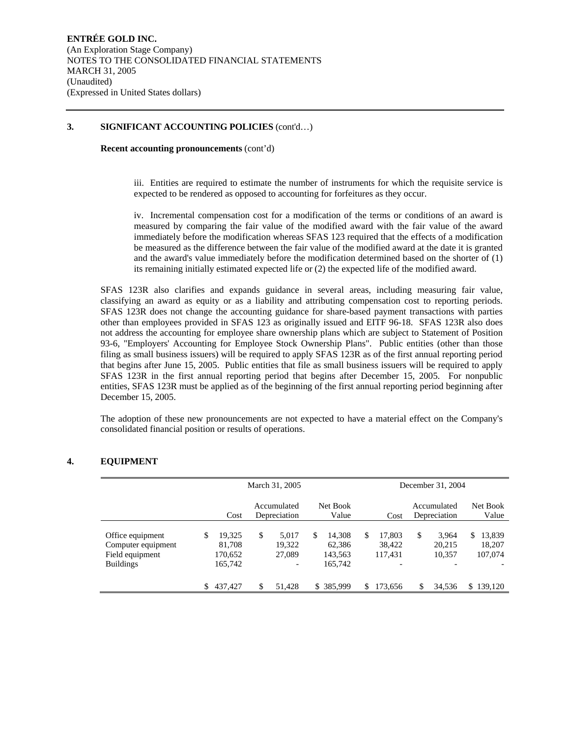### **3. SIGNIFICANT ACCOUNTING POLICIES** (cont'd…)

### **Recent accounting pronouncements** (cont'd)

iii. Entities are required to estimate the number of instruments for which the requisite service is expected to be rendered as opposed to accounting for forfeitures as they occur.

iv. Incremental compensation cost for a modification of the terms or conditions of an award is measured by comparing the fair value of the modified award with the fair value of the award immediately before the modification whereas SFAS 123 required that the effects of a modification be measured as the difference between the fair value of the modified award at the date it is granted and the award's value immediately before the modification determined based on the shorter of (1) its remaining initially estimated expected life or (2) the expected life of the modified award.

SFAS 123R also clarifies and expands guidance in several areas, including measuring fair value, classifying an award as equity or as a liability and attributing compensation cost to reporting periods. SFAS 123R does not change the accounting guidance for share-based payment transactions with parties other than employees provided in SFAS 123 as originally issued and EITF 96-18. SFAS 123R also does not address the accounting for employee share ownership plans which are subject to Statement of Position 93-6, "Employers' Accounting for Employee Stock Ownership Plans". Public entities (other than those filing as small business issuers) will be required to apply SFAS 123R as of the first annual reporting period that begins after June 15, 2005. Public entities that file as small business issuers will be required to apply SFAS 123R in the first annual reporting period that begins after December 15, 2005. For nonpublic entities, SFAS 123R must be applied as of the beginning of the first annual reporting period beginning after December 15, 2005.

The adoption of these new pronouncements are not expected to have a material effect on the Company's consolidated financial position or results of operations.

### **4. EQUIPMENT**

|                                                                               |                                              |   | March 31, 2005                 | December 31, 2004 |                                        |    |                                                         |                             |                           |     |                             |
|-------------------------------------------------------------------------------|----------------------------------------------|---|--------------------------------|-------------------|----------------------------------------|----|---------------------------------------------------------|-----------------------------|---------------------------|-----|-----------------------------|
|                                                                               | Cost                                         |   | Accumulated<br>Depreciation    | Net Book<br>Value |                                        |    | Cost                                                    | Accumulated<br>Depreciation |                           |     | Net Book<br>Value           |
| Office equipment<br>Computer equipment<br>Field equipment<br><b>Buildings</b> | \$<br>19.325<br>81,708<br>170,652<br>165,742 | S | 5.017<br>19,322<br>27,089<br>- | S                 | 14,308<br>62,386<br>143,563<br>165,742 | \$ | 17.803<br>38.422<br>117.431<br>$\overline{\phantom{0}}$ | \$                          | 3.964<br>20,215<br>10,357 | \$. | 13,839<br>18,207<br>107,074 |
|                                                                               | \$<br>437,427                                | S | 51.428                         |                   | \$ 385,999                             |    | 173.656                                                 | \$                          | 34,536                    |     | \$139,120                   |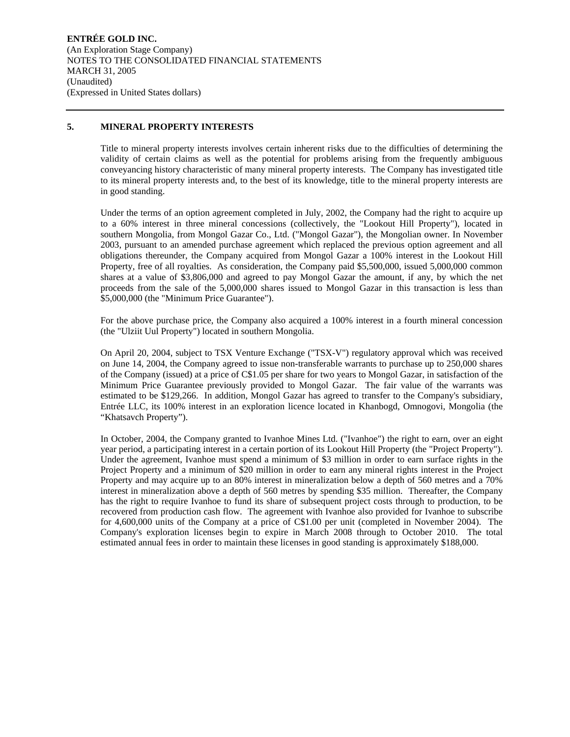### **5. MINERAL PROPERTY INTERESTS**

Title to mineral property interests involves certain inherent risks due to the difficulties of determining the validity of certain claims as well as the potential for problems arising from the frequently ambiguous conveyancing history characteristic of many mineral property interests. The Company has investigated title to its mineral property interests and, to the best of its knowledge, title to the mineral property interests are in good standing.

Under the terms of an option agreement completed in July, 2002, the Company had the right to acquire up to a 60% interest in three mineral concessions (collectively, the "Lookout Hill Property"), located in southern Mongolia, from Mongol Gazar Co., Ltd. ("Mongol Gazar"), the Mongolian owner. In November 2003, pursuant to an amended purchase agreement which replaced the previous option agreement and all obligations thereunder, the Company acquired from Mongol Gazar a 100% interest in the Lookout Hill Property, free of all royalties. As consideration, the Company paid \$5,500,000, issued 5,000,000 common shares at a value of \$3,806,000 and agreed to pay Mongol Gazar the amount, if any, by which the net proceeds from the sale of the 5,000,000 shares issued to Mongol Gazar in this transaction is less than \$5,000,000 (the "Minimum Price Guarantee").

For the above purchase price, the Company also acquired a 100% interest in a fourth mineral concession (the "Ulziit Uul Property") located in southern Mongolia.

On April 20, 2004, subject to TSX Venture Exchange ("TSX-V") regulatory approval which was received on June 14, 2004, the Company agreed to issue non-transferable warrants to purchase up to 250,000 shares of the Company (issued) at a price of C\$1.05 per share for two years to Mongol Gazar, in satisfaction of the Minimum Price Guarantee previously provided to Mongol Gazar. The fair value of the warrants was estimated to be \$129,266. In addition, Mongol Gazar has agreed to transfer to the Company's subsidiary, Entrée LLC, its 100% interest in an exploration licence located in Khanbogd, Omnogovi, Mongolia (the "Khatsavch Property").

In October, 2004, the Company granted to Ivanhoe Mines Ltd. ("Ivanhoe") the right to earn, over an eight year period, a participating interest in a certain portion of its Lookout Hill Property (the "Project Property"). Under the agreement, Ivanhoe must spend a minimum of \$3 million in order to earn surface rights in the Project Property and a minimum of \$20 million in order to earn any mineral rights interest in the Project Property and may acquire up to an 80% interest in mineralization below a depth of 560 metres and a 70% interest in mineralization above a depth of 560 metres by spending \$35 million. Thereafter, the Company has the right to require Ivanhoe to fund its share of subsequent project costs through to production, to be recovered from production cash flow. The agreement with Ivanhoe also provided for Ivanhoe to subscribe for 4,600,000 units of the Company at a price of C\$1.00 per unit (completed in November 2004). The Company's exploration licenses begin to expire in March 2008 through to October 2010. The total estimated annual fees in order to maintain these licenses in good standing is approximately \$188,000.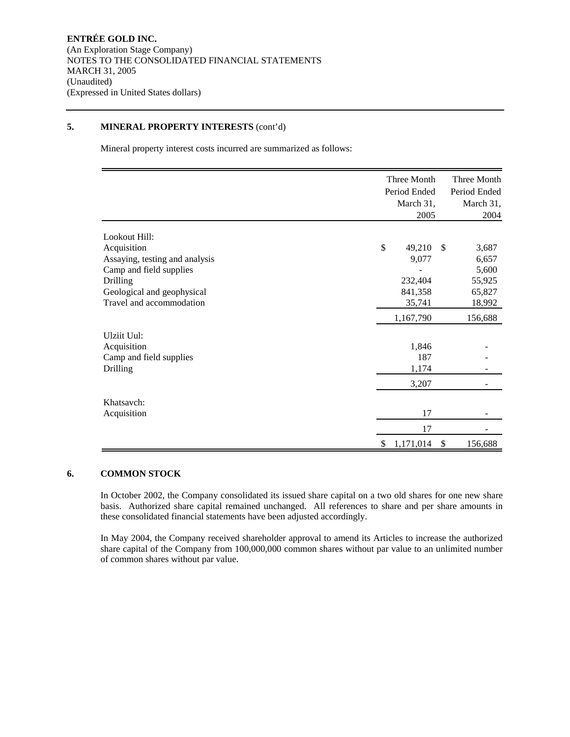# **5. MINERAL PROPERTY INTERESTS** (cont'd)

Mineral property interest costs incurred are summarized as follows:

|                                | Three Month<br>Period Ended<br>March 31,<br>2005 |               | Three Month<br>Period Ended<br>March 31,<br>2004 |
|--------------------------------|--------------------------------------------------|---------------|--------------------------------------------------|
| Lookout Hill:                  |                                                  |               |                                                  |
| Acquisition                    | \$<br>49,210                                     | <sup>\$</sup> | 3,687                                            |
| Assaying, testing and analysis | 9,077                                            |               | 6,657                                            |
| Camp and field supplies        |                                                  |               | 5,600                                            |
| Drilling                       | 232,404                                          |               | 55,925                                           |
| Geological and geophysical     | 841,358                                          |               | 65,827                                           |
| Travel and accommodation       | 35,741                                           |               | 18,992                                           |
|                                | 1,167,790                                        |               | 156,688                                          |
| Ulziit Uul:                    |                                                  |               |                                                  |
| Acquisition                    | 1,846                                            |               |                                                  |
| Camp and field supplies        | 187                                              |               |                                                  |
| Drilling                       | 1,174                                            |               |                                                  |
|                                | 3,207                                            |               |                                                  |
| Khatsavch:                     |                                                  |               |                                                  |
| Acquisition                    | 17                                               |               |                                                  |
|                                | 17                                               |               |                                                  |
|                                | \$<br>1,171,014                                  | \$            | 156,688                                          |

### **6. COMMON STOCK**

In October 2002, the Company consolidated its issued share capital on a two old shares for one new share basis. Authorized share capital remained unchanged. All references to share and per share amounts in these consolidated financial statements have been adjusted accordingly.

In May 2004, the Company received shareholder approval to amend its Articles to increase the authorized share capital of the Company from 100,000,000 common shares without par value to an unlimited number of common shares without par value.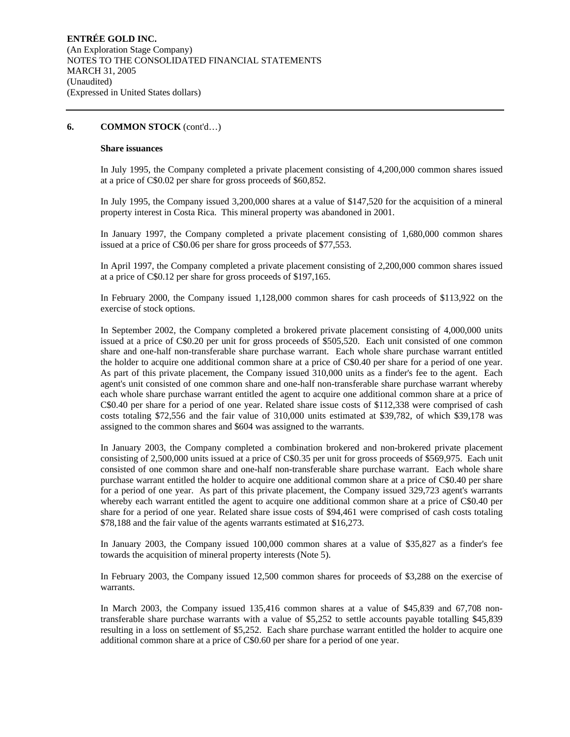### **Share issuances**

In July 1995, the Company completed a private placement consisting of 4,200,000 common shares issued at a price of C\$0.02 per share for gross proceeds of \$60,852.

In July 1995, the Company issued 3,200,000 shares at a value of \$147,520 for the acquisition of a mineral property interest in Costa Rica. This mineral property was abandoned in 2001.

In January 1997, the Company completed a private placement consisting of 1,680,000 common shares issued at a price of C\$0.06 per share for gross proceeds of \$77,553.

In April 1997, the Company completed a private placement consisting of 2,200,000 common shares issued at a price of C\$0.12 per share for gross proceeds of \$197,165.

In February 2000, the Company issued 1,128,000 common shares for cash proceeds of \$113,922 on the exercise of stock options.

In September 2002, the Company completed a brokered private placement consisting of 4,000,000 units issued at a price of C\$0.20 per unit for gross proceeds of \$505,520. Each unit consisted of one common share and one-half non-transferable share purchase warrant. Each whole share purchase warrant entitled the holder to acquire one additional common share at a price of C\$0.40 per share for a period of one year. As part of this private placement, the Company issued 310,000 units as a finder's fee to the agent. Each agent's unit consisted of one common share and one-half non-transferable share purchase warrant whereby each whole share purchase warrant entitled the agent to acquire one additional common share at a price of C\$0.40 per share for a period of one year. Related share issue costs of \$112,338 were comprised of cash costs totaling \$72,556 and the fair value of 310,000 units estimated at \$39,782, of which \$39,178 was assigned to the common shares and \$604 was assigned to the warrants.

In January 2003, the Company completed a combination brokered and non-brokered private placement consisting of 2,500,000 units issued at a price of C\$0.35 per unit for gross proceeds of \$569,975. Each unit consisted of one common share and one-half non-transferable share purchase warrant. Each whole share purchase warrant entitled the holder to acquire one additional common share at a price of C\$0.40 per share for a period of one year. As part of this private placement, the Company issued 329,723 agent's warrants whereby each warrant entitled the agent to acquire one additional common share at a price of C\$0.40 per share for a period of one year. Related share issue costs of \$94,461 were comprised of cash costs totaling \$78,188 and the fair value of the agents warrants estimated at \$16,273.

In January 2003, the Company issued 100,000 common shares at a value of \$35,827 as a finder's fee towards the acquisition of mineral property interests (Note 5).

In February 2003, the Company issued 12,500 common shares for proceeds of \$3,288 on the exercise of warrants.

In March 2003, the Company issued 135,416 common shares at a value of \$45,839 and 67,708 nontransferable share purchase warrants with a value of \$5,252 to settle accounts payable totalling \$45,839 resulting in a loss on settlement of \$5,252. Each share purchase warrant entitled the holder to acquire one additional common share at a price of C\$0.60 per share for a period of one year.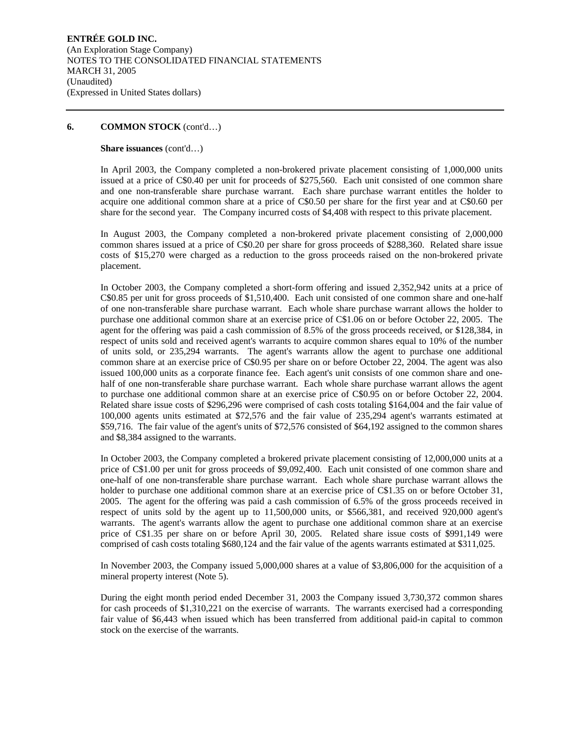### **Share issuances** (cont'd…)

In April 2003, the Company completed a non-brokered private placement consisting of 1,000,000 units issued at a price of C\$0.40 per unit for proceeds of \$275,560. Each unit consisted of one common share and one non-transferable share purchase warrant. Each share purchase warrant entitles the holder to acquire one additional common share at a price of C\$0.50 per share for the first year and at C\$0.60 per share for the second year. The Company incurred costs of \$4,408 with respect to this private placement.

In August 2003, the Company completed a non-brokered private placement consisting of 2,000,000 common shares issued at a price of C\$0.20 per share for gross proceeds of \$288,360. Related share issue costs of \$15,270 were charged as a reduction to the gross proceeds raised on the non-brokered private placement.

In October 2003, the Company completed a short-form offering and issued 2,352,942 units at a price of C\$0.85 per unit for gross proceeds of \$1,510,400. Each unit consisted of one common share and one-half of one non-transferable share purchase warrant. Each whole share purchase warrant allows the holder to purchase one additional common share at an exercise price of C\$1.06 on or before October 22, 2005. The agent for the offering was paid a cash commission of 8.5% of the gross proceeds received, or \$128,384, in respect of units sold and received agent's warrants to acquire common shares equal to 10% of the number of units sold, or 235,294 warrants. The agent's warrants allow the agent to purchase one additional common share at an exercise price of C\$0.95 per share on or before October 22, 2004. The agent was also issued 100,000 units as a corporate finance fee. Each agent's unit consists of one common share and onehalf of one non-transferable share purchase warrant. Each whole share purchase warrant allows the agent to purchase one additional common share at an exercise price of C\$0.95 on or before October 22, 2004. Related share issue costs of \$296,296 were comprised of cash costs totaling \$164,004 and the fair value of 100,000 agents units estimated at \$72,576 and the fair value of 235,294 agent's warrants estimated at \$59,716. The fair value of the agent's units of \$72,576 consisted of \$64,192 assigned to the common shares and \$8,384 assigned to the warrants.

In October 2003, the Company completed a brokered private placement consisting of 12,000,000 units at a price of C\$1.00 per unit for gross proceeds of \$9,092,400. Each unit consisted of one common share and one-half of one non-transferable share purchase warrant. Each whole share purchase warrant allows the holder to purchase one additional common share at an exercise price of C\$1.35 on or before October 31, 2005. The agent for the offering was paid a cash commission of 6.5% of the gross proceeds received in respect of units sold by the agent up to 11,500,000 units, or \$566,381, and received 920,000 agent's warrants. The agent's warrants allow the agent to purchase one additional common share at an exercise price of C\$1.35 per share on or before April 30, 2005. Related share issue costs of \$991,149 were comprised of cash costs totaling \$680,124 and the fair value of the agents warrants estimated at \$311,025.

In November 2003, the Company issued 5,000,000 shares at a value of \$3,806,000 for the acquisition of a mineral property interest (Note 5).

During the eight month period ended December 31, 2003 the Company issued 3,730,372 common shares for cash proceeds of \$1,310,221 on the exercise of warrants. The warrants exercised had a corresponding fair value of \$6,443 when issued which has been transferred from additional paid-in capital to common stock on the exercise of the warrants.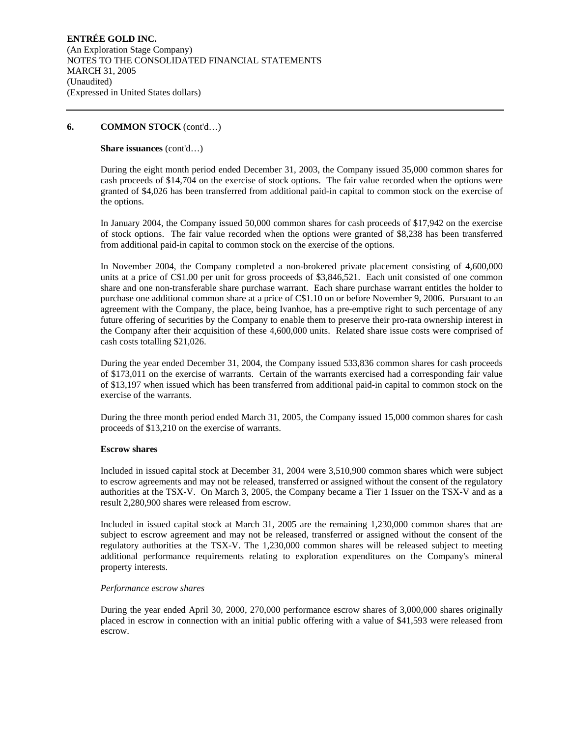### **Share issuances** (cont'd…)

During the eight month period ended December 31, 2003, the Company issued 35,000 common shares for cash proceeds of \$14,704 on the exercise of stock options. The fair value recorded when the options were granted of \$4,026 has been transferred from additional paid-in capital to common stock on the exercise of the options.

In January 2004, the Company issued 50,000 common shares for cash proceeds of \$17,942 on the exercise of stock options. The fair value recorded when the options were granted of \$8,238 has been transferred from additional paid-in capital to common stock on the exercise of the options.

In November 2004, the Company completed a non-brokered private placement consisting of 4,600,000 units at a price of C\$1.00 per unit for gross proceeds of \$3,846,521. Each unit consisted of one common share and one non-transferable share purchase warrant. Each share purchase warrant entitles the holder to purchase one additional common share at a price of C\$1.10 on or before November 9, 2006. Pursuant to an agreement with the Company, the place, being Ivanhoe, has a pre-emptive right to such percentage of any future offering of securities by the Company to enable them to preserve their pro-rata ownership interest in the Company after their acquisition of these 4,600,000 units. Related share issue costs were comprised of cash costs totalling \$21,026.

During the year ended December 31, 2004, the Company issued 533,836 common shares for cash proceeds of \$173,011 on the exercise of warrants. Certain of the warrants exercised had a corresponding fair value of \$13,197 when issued which has been transferred from additional paid-in capital to common stock on the exercise of the warrants.

During the three month period ended March 31, 2005, the Company issued 15,000 common shares for cash proceeds of \$13,210 on the exercise of warrants.

### **Escrow shares**

Included in issued capital stock at December 31, 2004 were 3,510,900 common shares which were subject to escrow agreements and may not be released, transferred or assigned without the consent of the regulatory authorities at the TSX-V. On March 3, 2005, the Company became a Tier 1 Issuer on the TSX-V and as a result 2,280,900 shares were released from escrow.

Included in issued capital stock at March 31, 2005 are the remaining 1,230,000 common shares that are subject to escrow agreement and may not be released, transferred or assigned without the consent of the regulatory authorities at the TSX-V. The 1,230,000 common shares will be released subject to meeting additional performance requirements relating to exploration expenditures on the Company's mineral property interests.

#### *Performance escrow shares*

During the year ended April 30, 2000, 270,000 performance escrow shares of 3,000,000 shares originally placed in escrow in connection with an initial public offering with a value of \$41,593 were released from escrow.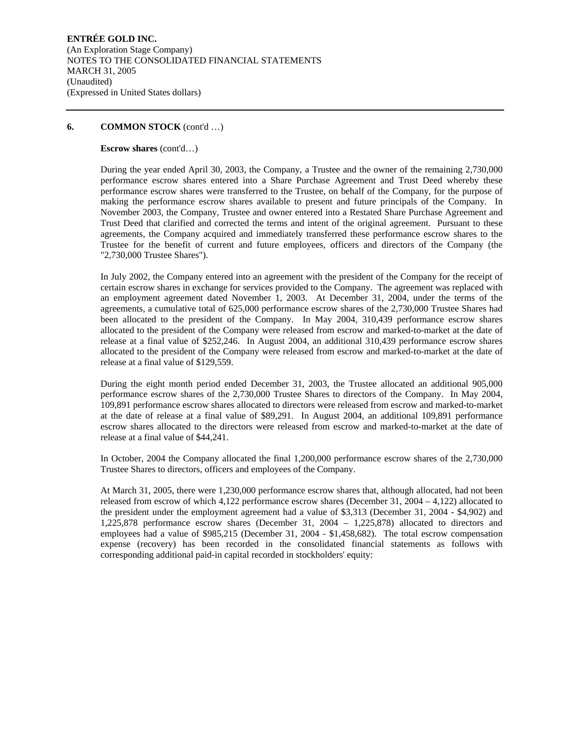### **Escrow shares** (cont'd…)

During the year ended April 30, 2003, the Company, a Trustee and the owner of the remaining 2,730,000 performance escrow shares entered into a Share Purchase Agreement and Trust Deed whereby these performance escrow shares were transferred to the Trustee, on behalf of the Company, for the purpose of making the performance escrow shares available to present and future principals of the Company. In November 2003, the Company, Trustee and owner entered into a Restated Share Purchase Agreement and Trust Deed that clarified and corrected the terms and intent of the original agreement. Pursuant to these agreements, the Company acquired and immediately transferred these performance escrow shares to the Trustee for the benefit of current and future employees, officers and directors of the Company (the "2,730,000 Trustee Shares").

In July 2002, the Company entered into an agreement with the president of the Company for the receipt of certain escrow shares in exchange for services provided to the Company. The agreement was replaced with an employment agreement dated November 1, 2003. At December 31, 2004, under the terms of the agreements, a cumulative total of 625,000 performance escrow shares of the 2,730,000 Trustee Shares had been allocated to the president of the Company. In May 2004, 310,439 performance escrow shares allocated to the president of the Company were released from escrow and marked-to-market at the date of release at a final value of \$252,246. In August 2004, an additional 310,439 performance escrow shares allocated to the president of the Company were released from escrow and marked-to-market at the date of release at a final value of \$129,559.

During the eight month period ended December 31, 2003, the Trustee allocated an additional 905,000 performance escrow shares of the 2,730,000 Trustee Shares to directors of the Company. In May 2004, 109,891 performance escrow shares allocated to directors were released from escrow and marked-to-market at the date of release at a final value of \$89,291. In August 2004, an additional 109,891 performance escrow shares allocated to the directors were released from escrow and marked-to-market at the date of release at a final value of \$44,241.

In October, 2004 the Company allocated the final 1,200,000 performance escrow shares of the 2,730,000 Trustee Shares to directors, officers and employees of the Company.

At March 31, 2005, there were 1,230,000 performance escrow shares that, although allocated, had not been released from escrow of which 4,122 performance escrow shares (December 31, 2004 – 4,122) allocated to the president under the employment agreement had a value of \$3,313 (December 31, 2004 - \$4,902) and 1,225,878 performance escrow shares (December 31, 2004 – 1,225,878) allocated to directors and employees had a value of \$985,215 (December 31, 2004 - \$1,458,682). The total escrow compensation expense (recovery) has been recorded in the consolidated financial statements as follows with corresponding additional paid-in capital recorded in stockholders' equity: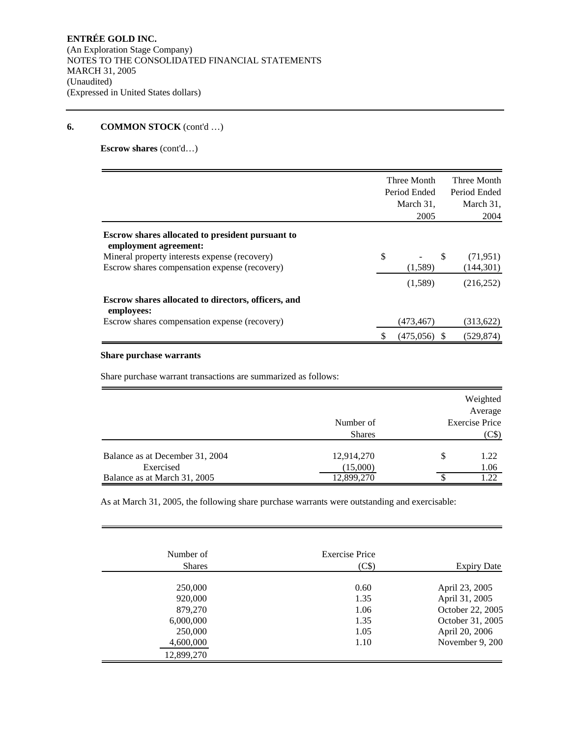**Escrow shares** (cont'd…)

|                                                                                                                                                                                    | Three Month<br>Period Ended<br>March 31,<br>2005 |     | Three Month<br>Period Ended<br>March 31,<br>2004 |
|------------------------------------------------------------------------------------------------------------------------------------------------------------------------------------|--------------------------------------------------|-----|--------------------------------------------------|
| <b>Escrow shares allocated to president pursuant to</b><br>employment agreement:<br>Mineral property interests expense (recovery)<br>Escrow shares compensation expense (recovery) | \$<br>(1,589)                                    | \$. | (71, 951)<br>(144, 301)                          |
|                                                                                                                                                                                    | (1,589)                                          |     | (216, 252)                                       |
| <b>Escrow shares allocated to directors, officers, and</b><br>employees:                                                                                                           |                                                  |     |                                                  |
| Escrow shares compensation expense (recovery)                                                                                                                                      | (473,467)                                        |     | (313, 622)                                       |
|                                                                                                                                                                                    | \$<br>(475,056)                                  |     | (529.874)                                        |

### **Share purchase warrants**

Share purchase warrant transactions are summarized as follows:

|                                              | Number of<br><b>Shares</b> | Weighted<br>Average<br><b>Exercise Price</b><br>(C\$) |
|----------------------------------------------|----------------------------|-------------------------------------------------------|
| Balance as at December 31, 2004<br>Exercised | 12,914,270<br>(15,000)     | \$<br>1.22<br>1.06                                    |
| Balance as at March 31, 2005                 | 12,899,270                 | 1.22                                                  |

As at March 31, 2005, the following share purchase warrants were outstanding and exercisable:

| Number of     | Exercise Price |                    |
|---------------|----------------|--------------------|
| <b>Shares</b> | (C\$)          | <b>Expiry Date</b> |
| 250,000       | 0.60           | April 23, 2005     |
| 920,000       | 1.35           | April 31, 2005     |
| 879,270       | 1.06           | October 22, 2005   |
| 6,000,000     | 1.35           | October 31, 2005   |
| 250,000       | 1.05           | April 20, 2006     |
| 4,600,000     | 1.10           | November 9, 200    |
| 12,899,270    |                |                    |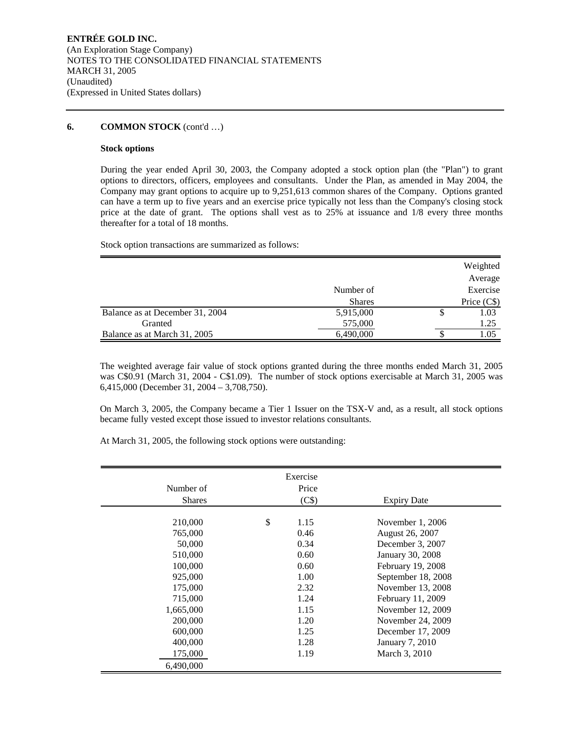### **Stock options**

During the year ended April 30, 2003, the Company adopted a stock option plan (the "Plan") to grant options to directors, officers, employees and consultants. Under the Plan, as amended in May 2004, the Company may grant options to acquire up to 9,251,613 common shares of the Company. Options granted can have a term up to five years and an exercise price typically not less than the Company's closing stock price at the date of grant. The options shall vest as to 25% at issuance and 1/8 every three months thereafter for a total of 18 months.

Stock option transactions are summarized as follows:

|                                 |               |   | Weighted    |
|---------------------------------|---------------|---|-------------|
|                                 |               |   | Average     |
|                                 | Number of     |   | Exercise    |
|                                 | <b>Shares</b> |   | Price (C\$) |
| Balance as at December 31, 2004 | 5,915,000     | J | 1.03        |
| Granted                         | 575,000       |   | 1.25        |
| Balance as at March 31, 2005    | 6,490,000     |   | 1.05        |

The weighted average fair value of stock options granted during the three months ended March 31, 2005 was C\$0.91 (March 31, 2004 - C\$1.09). The number of stock options exercisable at March 31, 2005 was 6,415,000 (December 31, 2004 – 3,708,750).

On March 3, 2005, the Company became a Tier 1 Issuer on the TSX-V and, as a result, all stock options became fully vested except those issued to investor relations consultants.

At March 31, 2005, the following stock options were outstanding:

| Number of<br><b>Shares</b>                                                                                                                                | Exercise<br>Price<br>(C\$)                                                                                 | <b>Expiry Date</b>                                                                                                                                                                                                                                                  |
|-----------------------------------------------------------------------------------------------------------------------------------------------------------|------------------------------------------------------------------------------------------------------------|---------------------------------------------------------------------------------------------------------------------------------------------------------------------------------------------------------------------------------------------------------------------|
| 210,000<br>765,000<br>50,000<br>510,000<br>100,000<br>925,000<br>175,000<br>715,000<br>1,665,000<br>200,000<br>600,000<br>400,000<br>175,000<br>6,490,000 | \$<br>1.15<br>0.46<br>0.34<br>0.60<br>0.60<br>1.00<br>2.32<br>1.24<br>1.15<br>1.20<br>1.25<br>1.28<br>1.19 | November 1, 2006<br>August 26, 2007<br>December 3, 2007<br>January 30, 2008<br>February 19, 2008<br>September 18, 2008<br>November 13, 2008<br>February 11, 2009<br>November 12, 2009<br>November 24, 2009<br>December 17, 2009<br>January 7, 2010<br>March 3, 2010 |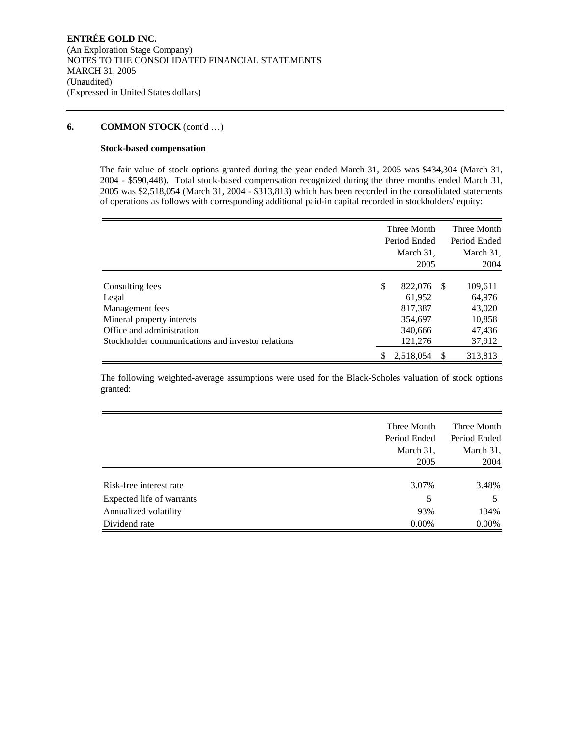# **Stock-based compensation**

The fair value of stock options granted during the year ended March 31, 2005 was \$434,304 (March 31, 2004 - \$590,448). Total stock-based compensation recognized during the three months ended March 31, 2005 was \$2,518,054 (March 31, 2004 - \$313,813) which has been recorded in the consolidated statements of operations as follows with corresponding additional paid-in capital recorded in stockholders' equity:

|                                                                                                                                                            | Three Month<br>Period Ended<br>March 31,<br>2005 |                                                               |    | Three Month<br>Period Ended<br>March 31,<br>2004          |  |
|------------------------------------------------------------------------------------------------------------------------------------------------------------|--------------------------------------------------|---------------------------------------------------------------|----|-----------------------------------------------------------|--|
| Consulting fees<br>Legal<br>Management fees<br>Mineral property interets<br>Office and administration<br>Stockholder communications and investor relations | \$                                               | 822,076<br>61,952<br>817,387<br>354,697<br>340,666<br>121,276 | -S | 109,611<br>64,976<br>43,020<br>10,858<br>47,436<br>37,912 |  |
|                                                                                                                                                            | S                                                | 2,518,054                                                     | S  | 313,813                                                   |  |

The following weighted-average assumptions were used for the Black-Scholes valuation of stock options granted:

|                           | Three Month<br>Period Ended<br>March 31,<br>2005 | Three Month<br>Period Ended<br>March 31,<br>2004 |
|---------------------------|--------------------------------------------------|--------------------------------------------------|
| Risk-free interest rate   | 3.07%                                            | 3.48%                                            |
| Expected life of warrants | 5                                                |                                                  |
| Annualized volatility     | 93%                                              | 134%                                             |
| Dividend rate             | $0.00\%$                                         | 0.00%                                            |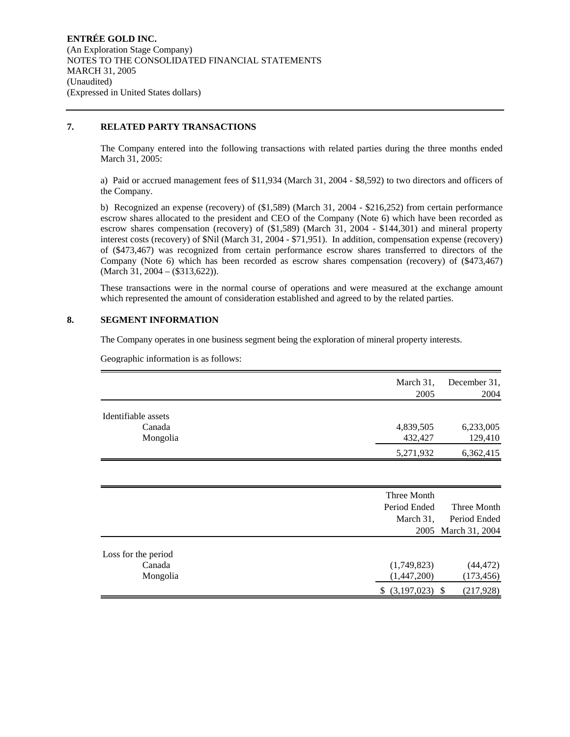### **7. RELATED PARTY TRANSACTIONS**

The Company entered into the following transactions with related parties during the three months ended March 31, 2005:

a) Paid or accrued management fees of \$11,934 (March 31, 2004 - \$8,592) to two directors and officers of the Company.

b) Recognized an expense (recovery) of (\$1,589) (March 31, 2004 - \$216,252) from certain performance escrow shares allocated to the president and CEO of the Company (Note 6) which have been recorded as escrow shares compensation (recovery) of (\$1,589) (March 31, 2004 - \$144,301) and mineral property interest costs (recovery) of \$Nil (March 31, 2004 - \$71,951). In addition, compensation expense (recovery) of (\$473,467) was recognized from certain performance escrow shares transferred to directors of the Company (Note 6) which has been recorded as escrow shares compensation (recovery) of (\$473,467) (March 31, 2004 – (\$313,622)).

These transactions were in the normal course of operations and were measured at the exchange amount which represented the amount of consideration established and agreed to by the related parties.

### **8. SEGMENT INFORMATION**

The Company operates in one business segment being the exploration of mineral property interests.

Geographic information is as follows:

|                     | March 31,<br>2005    | December 31.<br>2004 |
|---------------------|----------------------|----------------------|
| Identifiable assets |                      |                      |
| Canada<br>Mongolia  | 4,839,505<br>432,427 | 6,233,005<br>129,410 |
|                     | 5,271,932            | 6,362,415            |

|                                           | Three Month<br>Period Ended                    | Three Month                                  |
|-------------------------------------------|------------------------------------------------|----------------------------------------------|
|                                           | March 31,                                      | Period Ended                                 |
|                                           |                                                | 2005 March 31, 2004                          |
| Loss for the period<br>Canada<br>Mongolia | (1,749,823)<br>(1,447,200)<br>(3,197,023)<br>S | (44, 472)<br>(173, 456)<br>(217, 928)<br>-\$ |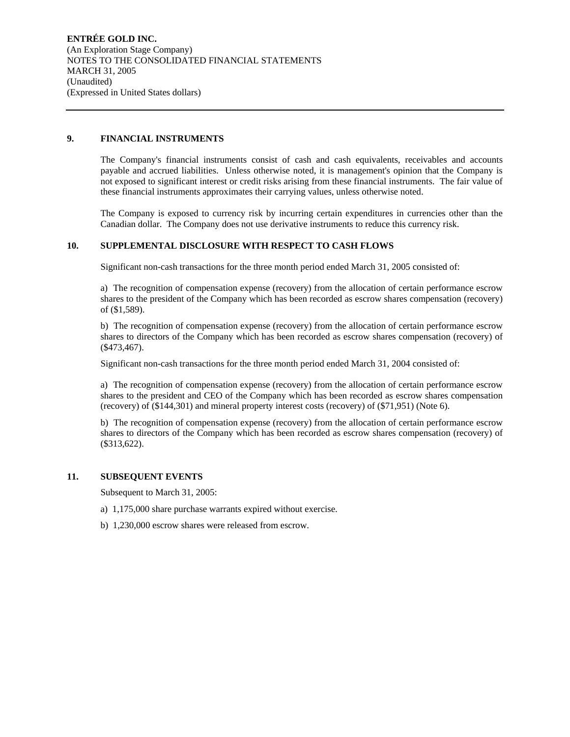### **9. FINANCIAL INSTRUMENTS**

The Company's financial instruments consist of cash and cash equivalents, receivables and accounts payable and accrued liabilities. Unless otherwise noted, it is management's opinion that the Company is not exposed to significant interest or credit risks arising from these financial instruments. The fair value of these financial instruments approximates their carrying values, unless otherwise noted.

The Company is exposed to currency risk by incurring certain expenditures in currencies other than the Canadian dollar. The Company does not use derivative instruments to reduce this currency risk.

### **10. SUPPLEMENTAL DISCLOSURE WITH RESPECT TO CASH FLOWS**

Significant non-cash transactions for the three month period ended March 31, 2005 consisted of:

a) The recognition of compensation expense (recovery) from the allocation of certain performance escrow shares to the president of the Company which has been recorded as escrow shares compensation (recovery) of (\$1,589).

b) The recognition of compensation expense (recovery) from the allocation of certain performance escrow shares to directors of the Company which has been recorded as escrow shares compensation (recovery) of (\$473,467).

Significant non-cash transactions for the three month period ended March 31, 2004 consisted of:

a) The recognition of compensation expense (recovery) from the allocation of certain performance escrow shares to the president and CEO of the Company which has been recorded as escrow shares compensation (recovery) of (\$144,301) and mineral property interest costs (recovery) of (\$71,951) (Note 6).

b) The recognition of compensation expense (recovery) from the allocation of certain performance escrow shares to directors of the Company which has been recorded as escrow shares compensation (recovery) of (\$313,622).

### **11. SUBSEQUENT EVENTS**

Subsequent to March 31, 2005:

- a) 1,175,000 share purchase warrants expired without exercise.
- b) 1,230,000 escrow shares were released from escrow.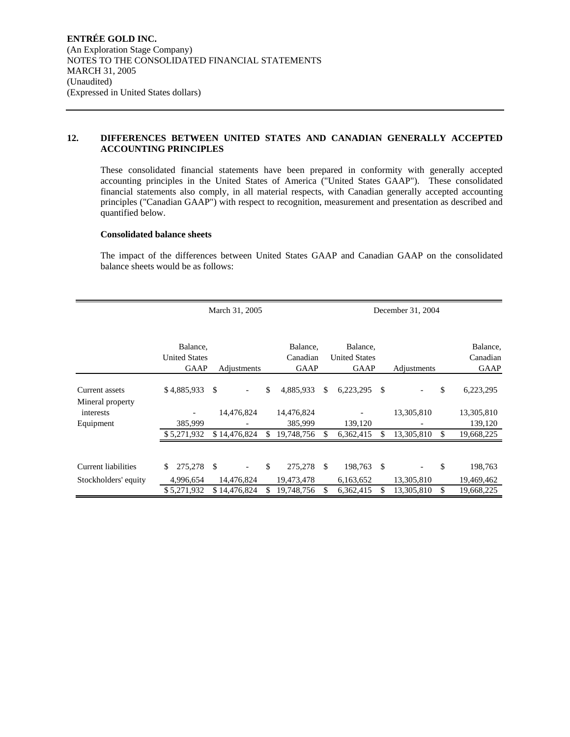# **12. DIFFERENCES BETWEEN UNITED STATES AND CANADIAN GENERALLY ACCEPTED ACCOUNTING PRINCIPLES**

These consolidated financial statements have been prepared in conformity with generally accepted accounting principles in the United States of America ("United States GAAP"). These consolidated financial statements also comply, in all material respects, with Canadian generally accepted accounting principles ("Canadian GAAP") with respect to recognition, measurement and presentation as described and quantified below.

### **Consolidated balance sheets**

The impact of the differences between United States GAAP and Canadian GAAP on the consolidated balance sheets would be as follows:

|                      | March 31, 2005                                  |               |     |                                     | December 31, 2004 |                                                 |               |             |    |                                     |
|----------------------|-------------------------------------------------|---------------|-----|-------------------------------------|-------------------|-------------------------------------------------|---------------|-------------|----|-------------------------------------|
|                      | Balance,<br><b>United States</b><br><b>GAAP</b> | Adjustments   |     | Balance,<br>Canadian<br><b>GAAP</b> |                   | Balance,<br><b>United States</b><br><b>GAAP</b> |               | Adjustments |    | Balance,<br>Canadian<br><b>GAAP</b> |
|                      |                                                 |               |     |                                     |                   |                                                 |               |             |    |                                     |
| Current assets       | \$4,885,933                                     | \$            | \$  | 4,885,933                           | \$                | 6,223,295                                       | <sup>\$</sup> |             | \$ | 6,223,295                           |
| Mineral property     |                                                 |               |     |                                     |                   |                                                 |               |             |    |                                     |
| interests            |                                                 | 14,476,824    |     | 14,476,824                          |                   |                                                 |               | 13,305,810  |    | 13,305,810                          |
| Equipment            | 385,999                                         |               |     | 385,999                             |                   | 139,120                                         |               |             |    | 139,120                             |
|                      | \$5,271,932                                     | \$14,476,824  | \$  | 19,748,756                          |                   | 6,362,415                                       |               | 13,305,810  | \$ | 19,668,225                          |
|                      |                                                 |               |     |                                     |                   |                                                 |               |             |    |                                     |
| Current liabilities  | 275,278<br>\$                                   | $\mathcal{S}$ | \$  | 275,278                             | <sup>\$</sup>     | 198,763                                         | <sup>\$</sup> |             | \$ | 198,763                             |
| Stockholders' equity | 4,996,654                                       | 14,476,824    |     | 19,473,478                          |                   | 6,163,652                                       |               | 13,305,810  |    | 19,469,462                          |
|                      | \$5,271,932                                     | \$14,476,824  | \$. | 19,748,756                          | S                 | 6,362,415                                       | S             | 13,305,810  | \$ | 19,668,225                          |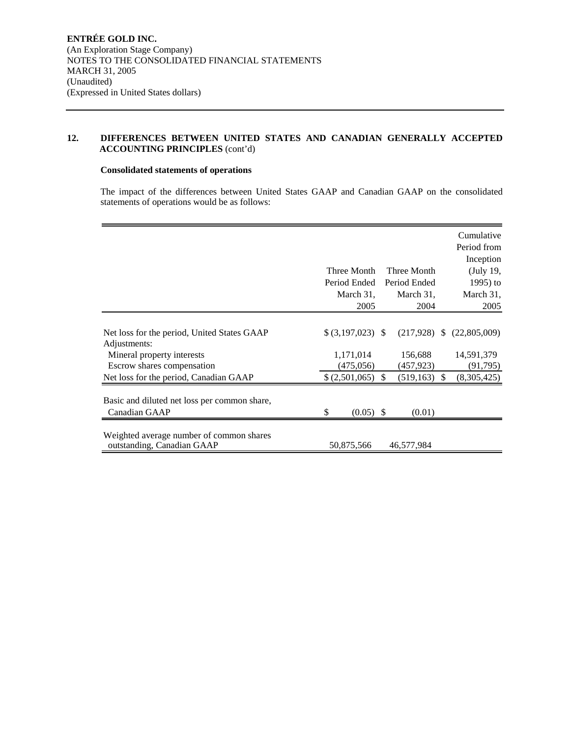# **12. DIFFERENCES BETWEEN UNITED STATES AND CANADIAN GENERALLY ACCEPTED ACCOUNTING PRINCIPLES** (cont'd)

### **Consolidated statements of operations**

The impact of the differences between United States GAAP and Canadian GAAP on the consolidated statements of operations would be as follows:

|                                              |                   |              | Cumulative<br>Period from     |
|----------------------------------------------|-------------------|--------------|-------------------------------|
|                                              |                   |              | Inception                     |
|                                              | Three Month       | Three Month  | (July 19,                     |
|                                              | Period Ended      | Period Ended | 1995) to                      |
|                                              | March 31,         | March 31,    | March 31,                     |
|                                              | 2005              | 2004         | 2005                          |
|                                              |                   |              |                               |
| Net loss for the period, United States GAAP  | $$(3,197,023)$ \; |              | $(217,928)$ \$ $(22,805,009)$ |
| Adjustments:                                 |                   |              |                               |
| Mineral property interests                   | 1,171,014         | 156,688      | 14,591,379                    |
| Escrow shares compensation                   | (475,056)         | (457, 923)   | (91, 795)                     |
| Net loss for the period, Canadian GAAP       | $$(2,501,065)$ \; | (519, 163)   | <sup>\$</sup><br>(8,305,425)  |
| Basic and diluted net loss per common share, |                   |              |                               |
| Canadian GAAP                                | \$<br>$(0.05)$ \$ | (0.01)       |                               |
|                                              |                   |              |                               |
| Weighted average number of common shares     |                   |              |                               |
| outstanding, Canadian GAAP                   | 50,875,566        | 46,577,984   |                               |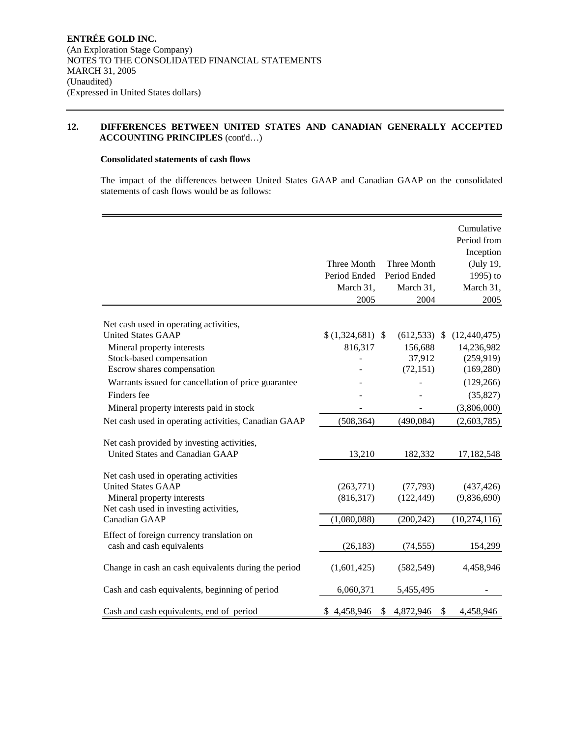# **12. DIFFERENCES BETWEEN UNITED STATES AND CANADIAN GENERALLY ACCEPTED ACCOUNTING PRINCIPLES** (cont'd…)

### **Consolidated statements of cash flows**

The impact of the differences between United States GAAP and Canadian GAAP on the consolidated statements of cash flows would be as follows:

|                                                        | Three Month<br>Period Ended<br>March 31,<br>2005 | Three Month<br>Period Ended<br>March 31,<br>2004 | Cumulative<br>Period from<br>Inception<br>(July 19,<br>1995) to<br>March 31,<br>2005 |
|--------------------------------------------------------|--------------------------------------------------|--------------------------------------------------|--------------------------------------------------------------------------------------|
|                                                        |                                                  |                                                  |                                                                                      |
| Net cash used in operating activities,                 |                                                  |                                                  |                                                                                      |
| <b>United States GAAP</b>                              | $(1,324,681)$ \$                                 | (612, 533)                                       | (12, 440, 475)<br>\$                                                                 |
| Mineral property interests                             | 816,317                                          | 156,688                                          | 14,236,982                                                                           |
| Stock-based compensation<br>Escrow shares compensation |                                                  | 37,912<br>(72, 151)                              | (259, 919)<br>(169, 280)                                                             |
|                                                        |                                                  |                                                  |                                                                                      |
| Warrants issued for cancellation of price guarantee    |                                                  |                                                  | (129, 266)                                                                           |
| Finders fee                                            |                                                  |                                                  | (35,827)                                                                             |
| Mineral property interests paid in stock               |                                                  |                                                  | (3,806,000)                                                                          |
| Net cash used in operating activities, Canadian GAAP   | (508, 364)                                       | (490,084)                                        | (2,603,785)                                                                          |
| Net cash provided by investing activities,             |                                                  |                                                  |                                                                                      |
| United States and Canadian GAAP                        | 13,210                                           | 182,332                                          | 17,182,548                                                                           |
|                                                        |                                                  |                                                  |                                                                                      |
| Net cash used in operating activities                  |                                                  |                                                  |                                                                                      |
| <b>United States GAAP</b>                              | (263,771)                                        | (77, 793)                                        | (437, 426)                                                                           |
| Mineral property interests                             | (816, 317)                                       | (122, 449)                                       | (9,836,690)                                                                          |
| Net cash used in investing activities,                 |                                                  |                                                  |                                                                                      |
| Canadian GAAP                                          | (1,080,088)                                      | (200, 242)                                       | (10, 274, 116)                                                                       |
| Effect of foreign currency translation on              |                                                  |                                                  |                                                                                      |
| cash and cash equivalents                              | (26, 183)                                        | (74, 555)                                        | 154,299                                                                              |
| Change in cash an cash equivalents during the period   | (1,601,425)                                      | (582, 549)                                       | 4,458,946                                                                            |
| Cash and cash equivalents, beginning of period         | 6,060,371                                        | 5,455,495                                        |                                                                                      |
| Cash and cash equivalents, end of period               | \$4,458,946                                      | S<br>4,872,946                                   | \$<br>4,458,946                                                                      |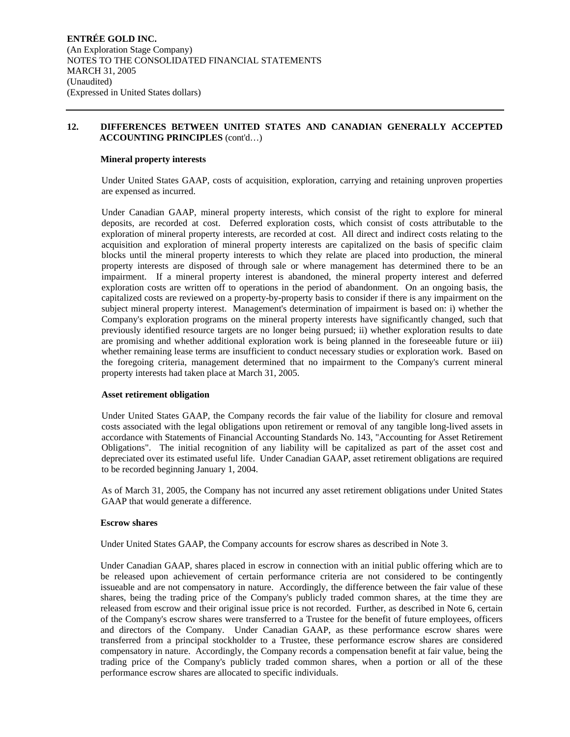### **12. DIFFERENCES BETWEEN UNITED STATES AND CANADIAN GENERALLY ACCEPTED ACCOUNTING PRINCIPLES** (cont'd…)

### **Mineral property interests**

Under United States GAAP, costs of acquisition, exploration, carrying and retaining unproven properties are expensed as incurred.

Under Canadian GAAP, mineral property interests, which consist of the right to explore for mineral deposits, are recorded at cost. Deferred exploration costs, which consist of costs attributable to the exploration of mineral property interests, are recorded at cost. All direct and indirect costs relating to the acquisition and exploration of mineral property interests are capitalized on the basis of specific claim blocks until the mineral property interests to which they relate are placed into production, the mineral property interests are disposed of through sale or where management has determined there to be an impairment. If a mineral property interest is abandoned, the mineral property interest and deferred exploration costs are written off to operations in the period of abandonment. On an ongoing basis, the capitalized costs are reviewed on a property-by-property basis to consider if there is any impairment on the subject mineral property interest. Management's determination of impairment is based on: i) whether the Company's exploration programs on the mineral property interests have significantly changed, such that previously identified resource targets are no longer being pursued; ii) whether exploration results to date are promising and whether additional exploration work is being planned in the foreseeable future or iii) whether remaining lease terms are insufficient to conduct necessary studies or exploration work. Based on the foregoing criteria, management determined that no impairment to the Company's current mineral property interests had taken place at March 31, 2005.

### **Asset retirement obligation**

Under United States GAAP, the Company records the fair value of the liability for closure and removal costs associated with the legal obligations upon retirement or removal of any tangible long-lived assets in accordance with Statements of Financial Accounting Standards No. 143, "Accounting for Asset Retirement Obligations". The initial recognition of any liability will be capitalized as part of the asset cost and depreciated over its estimated useful life. Under Canadian GAAP, asset retirement obligations are required to be recorded beginning January 1, 2004.

As of March 31, 2005, the Company has not incurred any asset retirement obligations under United States GAAP that would generate a difference.

### **Escrow shares**

Under United States GAAP, the Company accounts for escrow shares as described in Note 3.

Under Canadian GAAP, shares placed in escrow in connection with an initial public offering which are to be released upon achievement of certain performance criteria are not considered to be contingently issueable and are not compensatory in nature. Accordingly, the difference between the fair value of these shares, being the trading price of the Company's publicly traded common shares, at the time they are released from escrow and their original issue price is not recorded. Further, as described in Note 6, certain of the Company's escrow shares were transferred to a Trustee for the benefit of future employees, officers and directors of the Company. Under Canadian GAAP, as these performance escrow shares were transferred from a principal stockholder to a Trustee, these performance escrow shares are considered compensatory in nature. Accordingly, the Company records a compensation benefit at fair value, being the trading price of the Company's publicly traded common shares, when a portion or all of the these performance escrow shares are allocated to specific individuals.